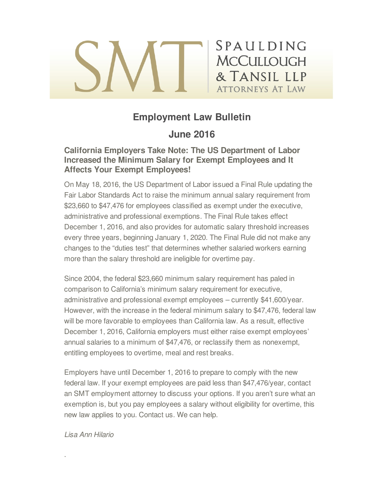# SPAULDING **MCCULLOUGH** & TANSIL LLP **ATTORNEYS AT LAW**

# **Employment Law Bulletin**

## **June 2016**

## **California Employers Take Note: The US Department of Labor Increased the Minimum Salary for Exempt Employees and It Affects Your Exempt Employees!**

On May 18, 2016, the US Department of Labor issued a Final Rule updating the Fair Labor Standards Act to raise the minimum annual salary requirement from \$23,660 to \$47,476 for employees classified as exempt under the executive, administrative and professional exemptions. The Final Rule takes effect December 1, 2016, and also provides for automatic salary threshold increases every three years, beginning January 1, 2020. The Final Rule did not make any changes to the "duties test" that determines whether salaried workers earning more than the salary threshold are ineligible for overtime pay.

Since 2004, the federal \$23,660 minimum salary requirement has paled in comparison to California's minimum salary requirement for executive, administrative and professional exempt employees – currently \$41,600/year. However, with the increase in the federal minimum salary to \$47,476, federal law will be more favorable to employees than California law. As a result, effective December 1, 2016, California employers must either raise exempt employees' annual salaries to a minimum of \$47,476, or reclassify them as nonexempt, entitling employees to overtime, meal and rest breaks.

Employers have until December 1, 2016 to prepare to comply with the new federal law. If your exempt employees are paid less than \$47,476/year, contact an SMT employment attorney to discuss your options. If you aren't sure what an exemption is, but you pay employees a salary without eligibility for overtime, this new law applies to you. Contact us. We can help.

#### *Lisa Ann Hilario*

.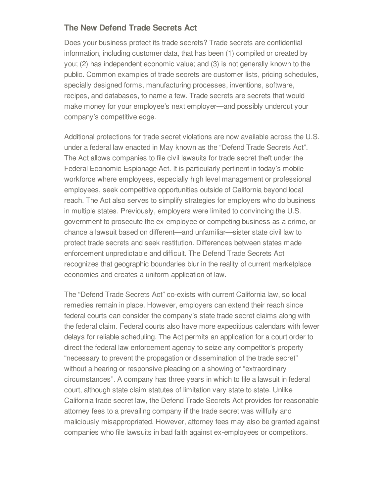## **The New Defend Trade Secrets Act**

Does your business protect its trade secrets? Trade secrets are confidential information, including customer data, that has been (1) compiled or created by you; (2) has independent economic value; and (3) is not generally known to the public. Common examples of trade secrets are customer lists, pricing schedules, specially designed forms, manufacturing processes, inventions, software, recipes, and databases, to name a few. Trade secrets are secrets that would make money for your employee's next employer—and possibly undercut your company's competitive edge.

Additional protections for trade secret violations are now available across the U.S. under a federal law enacted in May known as the "Defend Trade Secrets Act". The Act allows companies to file civil lawsuits for trade secret theft under the Federal Economic Espionage Act. It is particularly pertinent in today's mobile workforce where employees, especially high level management or professional employees, seek competitive opportunities outside of California beyond local reach. The Act also serves to simplify strategies for employers who do business in multiple states. Previously, employers were limited to convincing the U.S. government to prosecute the ex-employee or competing business as a crime, or chance a lawsuit based on different—and unfamiliar—sister state civil law to protect trade secrets and seek restitution. Differences between states made enforcement unpredictable and difficult. The Defend Trade Secrets Act recognizes that geographic boundaries blur in the reality of current marketplace economies and creates a uniform application of law.

The "Defend Trade Secrets Act" co-exists with current California law, so local remedies remain in place. However, employers can extend their reach since federal courts can consider the company's state trade secret claims along with the federal claim. Federal courts also have more expeditious calendars with fewer delays for reliable scheduling. The Act permits an application for a court order to direct the federal law enforcement agency to seize any competitor's property "necessary to prevent the propagation or dissemination of the trade secret" without a hearing or responsive pleading on a showing of "extraordinary circumstances". A company has three years in which to file a lawsuit in federal court, although state claim statutes of limitation vary state to state. Unlike California trade secret law, the Defend Trade Secrets Act provides for reasonable attorney fees to a prevailing company **if** the trade secret was willfully and maliciously misappropriated. However, attorney fees may also be granted against companies who file lawsuits in bad faith against ex-employees or competitors.